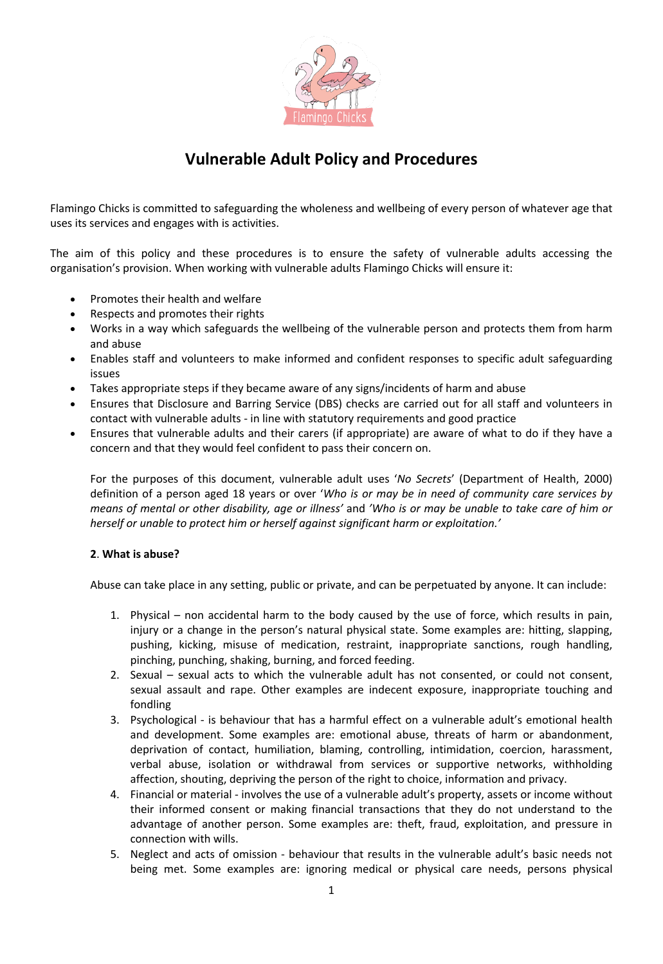

# **Vulnerable Adult Policy and Procedures**

Flamingo Chicks is committed to safeguarding the wholeness and wellbeing of every person of whatever age that uses its services and engages with is activities.

The aim of this policy and these procedures is to ensure the safety of vulnerable adults accessing the organisation's provision. When working with vulnerable adults Flamingo Chicks will ensure it:

- Promotes their health and welfare
- Respects and promotes their rights
- Works in a way which safeguards the wellbeing of the vulnerable person and protects them from harm and abuse
- Enables staff and volunteers to make informed and confident responses to specific adult safeguarding issues
- Takes appropriate steps if they became aware of any signs/incidents of harm and abuse
- Ensures that Disclosure and Barring Service (DBS) checks are carried out for all staff and volunteers in contact with vulnerable adults - in line with statutory requirements and good practice
- Ensures that vulnerable adults and their carers (if appropriate) are aware of what to do if they have a concern and that they would feel confident to pass their concern on.

For the purposes of this document, vulnerable adult uses '*No Secrets*' (Department of Health, 2000) definition of a person aged 18 years or over '*Who is or may be in need of community care services by means of mental or other disability, age or illness'* and *'Who is or may be unable to take care of him or herself or unable to protect him or herself against significant harm or exploitation.'*

### **2**. **What is abuse?**

Abuse can take place in any setting, public or private, and can be perpetuated by anyone. It can include:

- 1. Physical non accidental harm to the body caused by the use of force, which results in pain, injury or a change in the person's natural physical state. Some examples are: hitting, slapping, pushing, kicking, misuse of medication, restraint, inappropriate sanctions, rough handling, pinching, punching, shaking, burning, and forced feeding.
- 2. Sexual sexual acts to which the vulnerable adult has not consented, or could not consent, sexual assault and rape. Other examples are indecent exposure, inappropriate touching and fondling
- 3. Psychological is behaviour that has a harmful effect on a vulnerable adult's emotional health and development. Some examples are: emotional abuse, threats of harm or abandonment, deprivation of contact, humiliation, blaming, controlling, intimidation, coercion, harassment, verbal abuse, isolation or withdrawal from services or supportive networks, withholding affection, shouting, depriving the person of the right to choice, information and privacy.
- 4. Financial or material involves the use of a vulnerable adult's property, assets or income without their informed consent or making financial transactions that they do not understand to the advantage of another person. Some examples are: theft, fraud, exploitation, and pressure in connection with wills.
- 5. Neglect and acts of omission behaviour that results in the vulnerable adult's basic needs not being met. Some examples are: ignoring medical or physical care needs, persons physical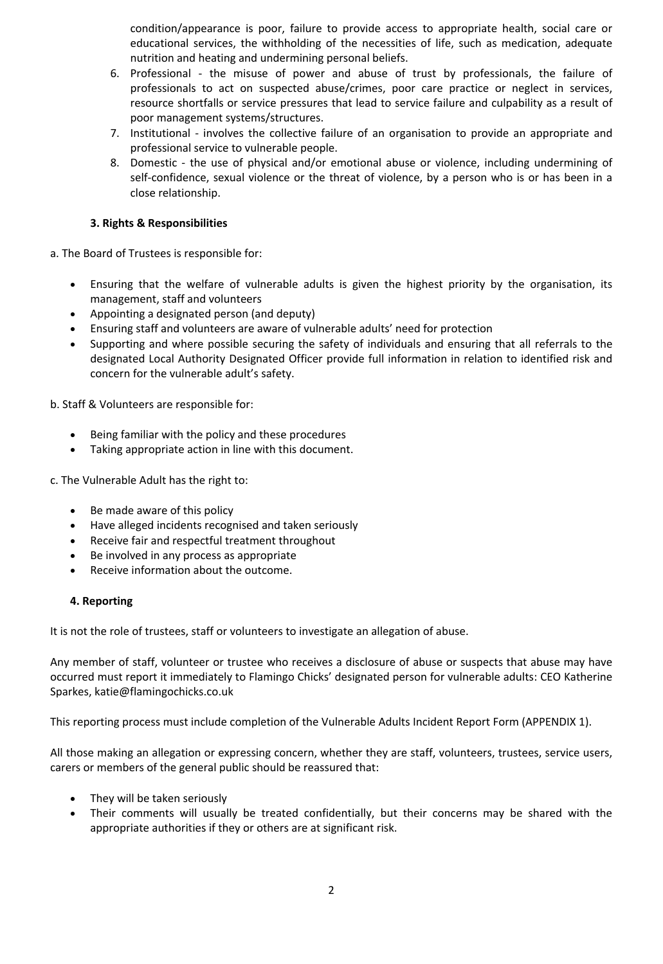condition/appearance is poor, failure to provide access to appropriate health, social care or educational services, the withholding of the necessities of life, such as medication, adequate nutrition and heating and undermining personal beliefs.

- 6. Professional the misuse of power and abuse of trust by professionals, the failure of professionals to act on suspected abuse/crimes, poor care practice or neglect in services, resource shortfalls or service pressures that lead to service failure and culpability as a result of poor management systems/structures.
- 7. Institutional involves the collective failure of an organisation to provide an appropriate and professional service to vulnerable people.
- 8. Domestic the use of physical and/or emotional abuse or violence, including undermining of self-confidence, sexual violence or the threat of violence, by a person who is or has been in a close relationship.

## **3. Rights & Responsibilities**

a. The Board of Trustees is responsible for:

- Ensuring that the welfare of vulnerable adults is given the highest priority by the organisation, its management, staff and volunteers
- Appointing a designated person (and deputy)
- Ensuring staff and volunteers are aware of vulnerable adults' need for protection
- Supporting and where possible securing the safety of individuals and ensuring that all referrals to the designated Local Authority Designated Officer provide full information in relation to identified risk and concern for the vulnerable adult's safety.

b. Staff & Volunteers are responsible for:

- Being familiar with the policy and these procedures
- Taking appropriate action in line with this document.

c. The Vulnerable Adult has the right to:

- Be made aware of this policy
- Have alleged incidents recognised and taken seriously
- Receive fair and respectful treatment throughout
- Be involved in any process as appropriate
- Receive information about the outcome.

### **4. Reporting**

It is not the role of trustees, staff or volunteers to investigate an allegation of abuse.

Any member of staff, volunteer or trustee who receives a disclosure of abuse or suspects that abuse may have occurred must report it immediately to Flamingo Chicks' designated person for vulnerable adults: CEO Katherine Sparkes, katie@flamingochicks.co.uk

This reporting process must include completion of the Vulnerable Adults Incident Report Form (APPENDIX 1).

All those making an allegation or expressing concern, whether they are staff, volunteers, trustees, service users, carers or members of the general public should be reassured that:

- They will be taken seriously
- Their comments will usually be treated confidentially, but their concerns may be shared with the appropriate authorities if they or others are at significant risk.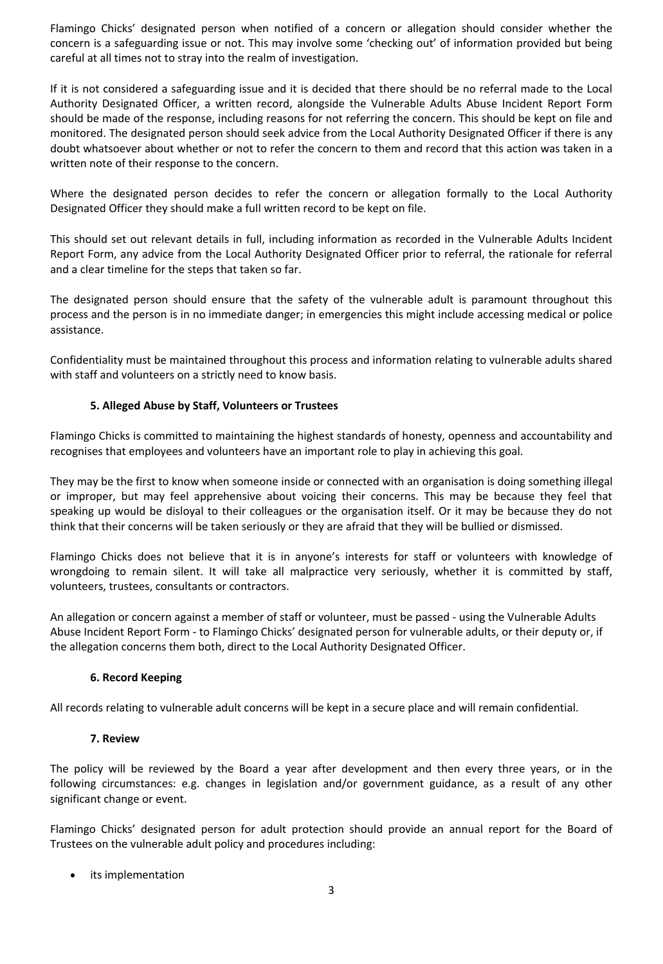Flamingo Chicks' designated person when notified of a concern or allegation should consider whether the concern is a safeguarding issue or not. This may involve some 'checking out' of information provided but being careful at all times not to stray into the realm of investigation.

If it is not considered a safeguarding issue and it is decided that there should be no referral made to the Local Authority Designated Officer, a written record, alongside the Vulnerable Adults Abuse Incident Report Form should be made of the response, including reasons for not referring the concern. This should be kept on file and monitored. The designated person should seek advice from the Local Authority Designated Officer if there is any doubt whatsoever about whether or not to refer the concern to them and record that this action was taken in a written note of their response to the concern.

Where the designated person decides to refer the concern or allegation formally to the Local Authority Designated Officer they should make a full written record to be kept on file.

This should set out relevant details in full, including information as recorded in the Vulnerable Adults Incident Report Form, any advice from the Local Authority Designated Officer prior to referral, the rationale for referral and a clear timeline for the steps that taken so far.

The designated person should ensure that the safety of the vulnerable adult is paramount throughout this process and the person is in no immediate danger; in emergencies this might include accessing medical or police assistance.

Confidentiality must be maintained throughout this process and information relating to vulnerable adults shared with staff and volunteers on a strictly need to know basis.

## **5. Alleged Abuse by Staff, Volunteers or Trustees**

Flamingo Chicks is committed to maintaining the highest standards of honesty, openness and accountability and recognises that employees and volunteers have an important role to play in achieving this goal.

They may be the first to know when someone inside or connected with an organisation is doing something illegal or improper, but may feel apprehensive about voicing their concerns. This may be because they feel that speaking up would be disloyal to their colleagues or the organisation itself. Or it may be because they do not think that their concerns will be taken seriously or they are afraid that they will be bullied or dismissed.

Flamingo Chicks does not believe that it is in anyone's interests for staff or volunteers with knowledge of wrongdoing to remain silent. It will take all malpractice very seriously, whether it is committed by staff, volunteers, trustees, consultants or contractors.

An allegation or concern against a member of staff or volunteer, must be passed - using the Vulnerable Adults Abuse Incident Report Form - to Flamingo Chicks' designated person for vulnerable adults, or their deputy or, if the allegation concerns them both, direct to the Local Authority Designated Officer.

### **6. Record Keeping**

All records relating to vulnerable adult concerns will be kept in a secure place and will remain confidential.

### **7. Review**

The policy will be reviewed by the Board a year after development and then every three years, or in the following circumstances: e.g. changes in legislation and/or government guidance, as a result of any other significant change or event.

Flamingo Chicks' designated person for adult protection should provide an annual report for the Board of Trustees on the vulnerable adult policy and procedures including:

its implementation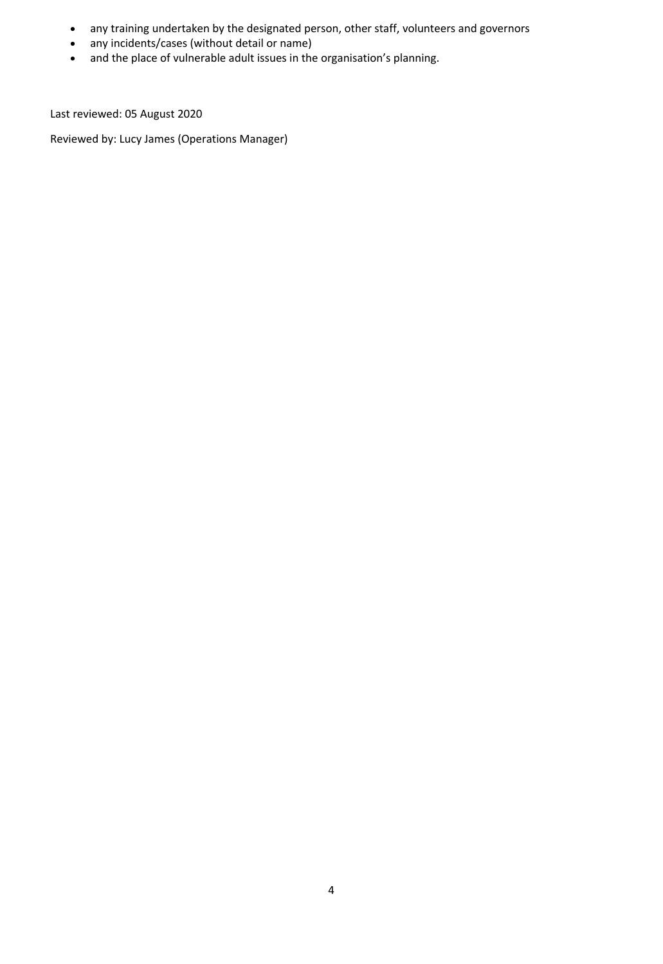- any training undertaken by the designated person, other staff, volunteers and governors
- any incidents/cases (without detail or name)
- and the place of vulnerable adult issues in the organisation's planning.

Last reviewed: 05 August 2020

Reviewed by: Lucy James (Operations Manager)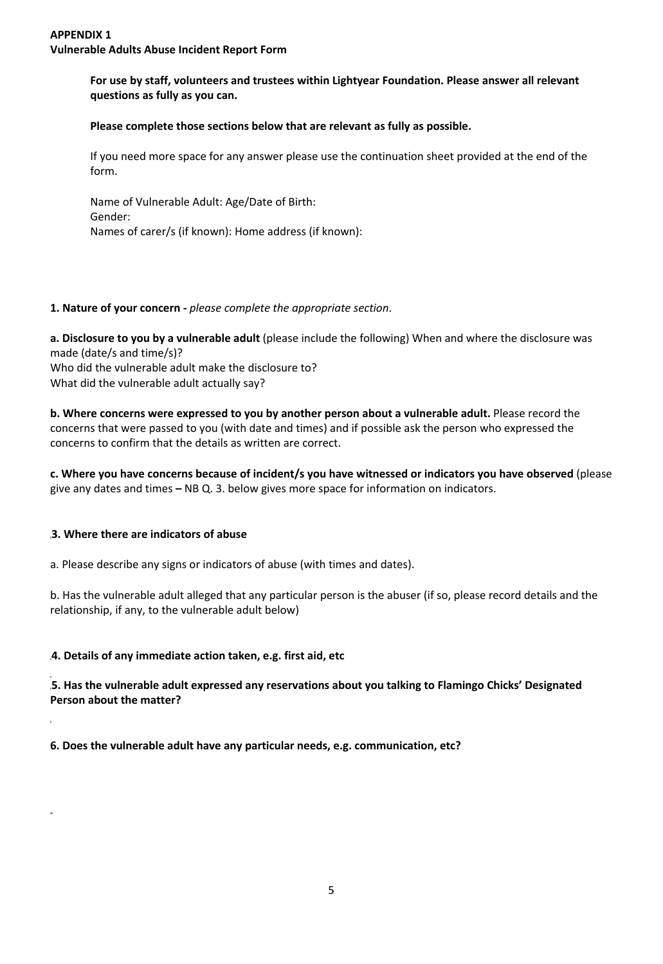## **For use by staff, volunteers and trustees within Lightyear Foundation. Please answer all relevant questions as fully as you can.**

## **Please complete those sections below that are relevant as fully as possible.**

If you need more space for any answer please use the continuation sheet provided at the end of the form.

Name of Vulnerable Adult: Age/Date of Birth: Gender: Names of carer/s (if known): Home address (if known):

## **1. Nature of your concern -** *please complete the appropriate section*.

**a. Disclosure to you by a vulnerable adult** (please include the following) When and where the disclosure was made (date/s and time/s)? Who did the vulnerable adult make the disclosure to? What did the vulnerable adult actually say?

**b. Where concerns were expressed to you by another person about a vulnerable adult.** Please record the concerns that were passed to you (with date and times) and if possible ask the person who expressed the concerns to confirm that the details as written are correct.

**c. Where you have concerns because of incident/s you have witnessed or indicators you have observed** (please give any dates and times **–** NB Q. 3. below gives more space for information on indicators.

## **3. Where there are indicators of abuse**

a. Please describe any signs or indicators of abuse (with times and dates).

b. Has the vulnerable adult alleged that any particular person is the abuser (if so, please record details and the relationship, if any, to the vulnerable adult below)

### **4. Details of any immediate action taken, e.g. first aid, etc**

**5. Has the vulnerable adult expressed any reservations about you talking to Flamingo Chicks' Designated Person about the matter?** 

**6. Does the vulnerable adult have any particular needs, e.g. communication, etc?**